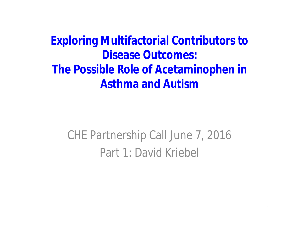**Exploring Multifactorial Contributors to Disease Outcomes: The Possible Role of Acetaminophen in Asthma and Autism**

CHE Partnership Call June 7, 2016 Part 1: David Kriebel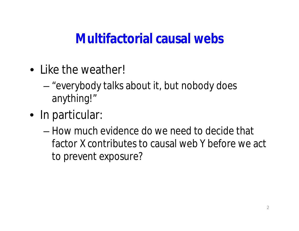#### **Multifactorial causal webs**

- Like the weather!
	- "everybody talks about it, but nobody does anything!"
- In particular:
	- How much evidence do we need to decide that factor X contributes to causal web Y before we act to prevent exposure?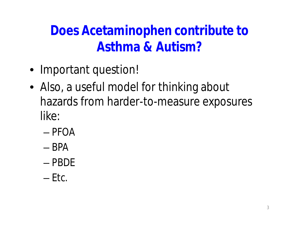**Does Acetaminophen contribute to Asthma & Autism?**

- Important question!
- Also, a useful model for thinking about hazards from harder-to-measure exposures like:
	- PFOA
	- BPA
	- PBDE
	- $-$  Etc.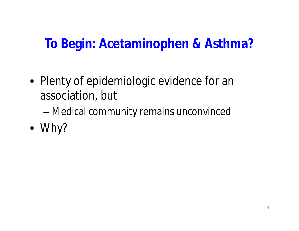#### **To Begin: Acetaminophen & Asthma?**

- Plenty of epidemiologic evidence for an association, but
	- Medical community remains unconvinced
- Why?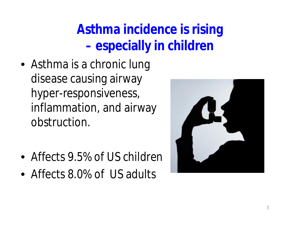## **Asthma incidence is rising – especially in children**

- Asthma is a chronic lung disease causing airway hyper-responsiveness, inflammation, and airway obstruction.
- Affects 9.5% of US children
- Affects 8.0% of US adults

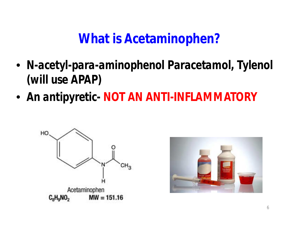#### **What is Acetaminophen?**

- *N-acetyl-para-aminophenol Paracetamol, Tylenol (will use APAP)*
- *An antipyretic- NOT AN ANTI-INFLAMMATORY*



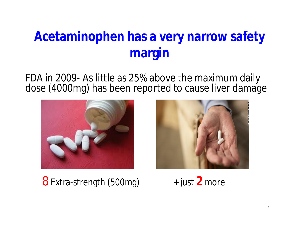## **Acetaminophen has a very narrow safety margin**

FDA in 2009- As little as 25% above the maximum daily dose (4000mg) has been reported to cause liver damage



8 Extra-strength (500mg) + just **2** more

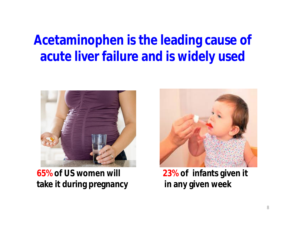#### **Acetaminophen is the leading cause of acute liver failure and is widely used**



**65% of US women will 23% of infants given it take it during pregnancy in any given week**

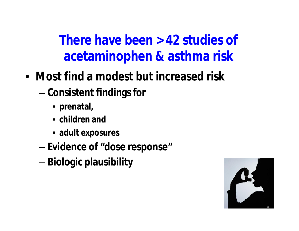**There have been > 42 studies of acetaminophen & asthma risk**

- **Most find a modest but increased risk**
	- **Consistent findings for**
		- **prenatal,**
		- **children and**
		- **adult exposures**
	- **Evidence of "dose response"**
	- **Biologic plausibility**

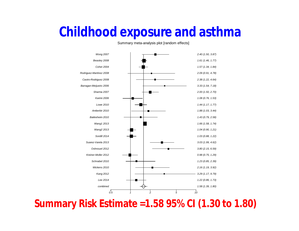#### **Childhood exposure and asthma**

Summary meta-analysis plot [random effects]



**Summary Risk Estimate =1.58 95% CI (1.30 to 1.80)**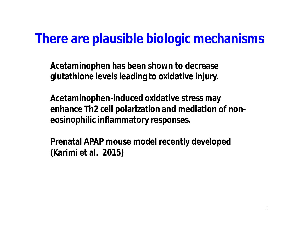#### **There are plausible biologic mechanisms**

**Acetaminophen has been shown to decrease glutathione levels leading to oxidative injury.**

**Acetaminophen-induced oxidative stress may enhance Th2 cell polarization and mediation of noneosinophilic inflammatory responses.**

**Prenatal APAP mouse model recently developed (Karimi et al. 2015)**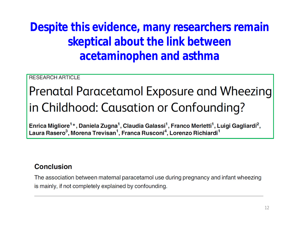**Despite this evidence, many researchers remain skeptical about the link between acetaminophen and asthma**

**RESEARCH ARTICLE** 

## Prenatal Paracetamol Exposure and Wheezing in Childhood: Causation or Confounding?

Enrica Migliore<sup>1</sup>\*, Daniela Zugna<sup>1</sup>, Claudia Galassi<sup>1</sup>, Franco Merletti<sup>1</sup>, Luigi Gagliardi<sup>2</sup>, Laura Rasero<sup>3</sup>, Morena Trevisan<sup>1</sup>, Franca Rusconi<sup>4</sup>, Lorenzo Richiardi<sup>1</sup>

#### Conclusion

The association between maternal paracetamol use during pregnancy and infant wheezing is mainly, if not completely explained by confounding.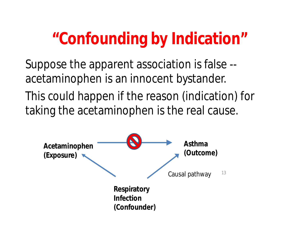# **"Confounding by Indication"**

Suppose the apparent association is false - acetaminophen is an innocent bystander.

This could happen if the reason (indication) for taking the acetaminophen is the real cause.

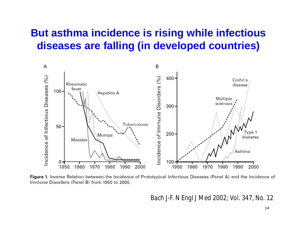#### **But asthma incidence is rising while infectious diseases are falling (in developed countries)**



Figure 1. Inverse Relation between the Incidence of Prototypical Infectious Diseases (Panel A) and the Incidence of Immune Disorders (Panel B) from 1950 to 2000.

*Bach J-F. N Engl J Med 2002; Vol. 347, No. 12*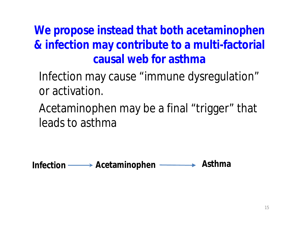**We propose instead that both acetaminophen & infection may contribute to a multi-factorial causal web for asthma**

Infection may cause "immune dysregulation" or activation.

Acetaminophen may be a final "trigger" that leads to asthma

**Infection Acetaminophen Asthma**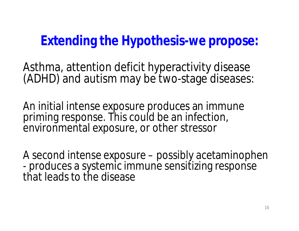**Extending the Hypothesis-we propose:**

Asthma, attention deficit hyperactivity disease (ADHD) and autism may be two-stage diseases:

An initial intense exposure produces an immune priming response. This could be an infection, environmental exposure, or other stressor

A second intense exposure – possibly acetaminophen - produces a systemic immune sensitizing response that leads to the disease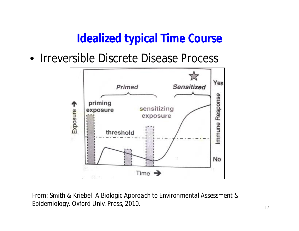#### **Idealized typical Time Course**

• Irreversible Discrete Disease Process



*From: Smith & Kriebel. A Biologic Approach to Environmental Assessment & Epidemiology. Oxford Univ. Press, 2010.*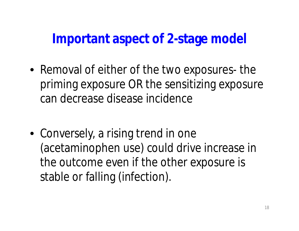**Important aspect of 2-stage model**

- Removal of either of the two exposures- the priming exposure OR the sensitizing exposure can decrease disease incidence
- Conversely, a rising trend in one (acetaminophen use) could drive increase in the outcome even if the other exposure is stable or falling (infection).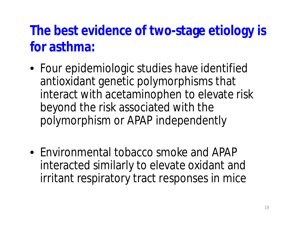## **The best evidence of two-stage etiology is for asthma:**

- Four epidemiologic studies have identified antioxidant genetic polymorphisms that interact with acetaminophen to elevate risk beyond the risk associated with the polymorphism or APAP independently
- Environmental tobacco smoke and APAP interacted similarly to elevate oxidant and irritant respiratory tract responses in mice